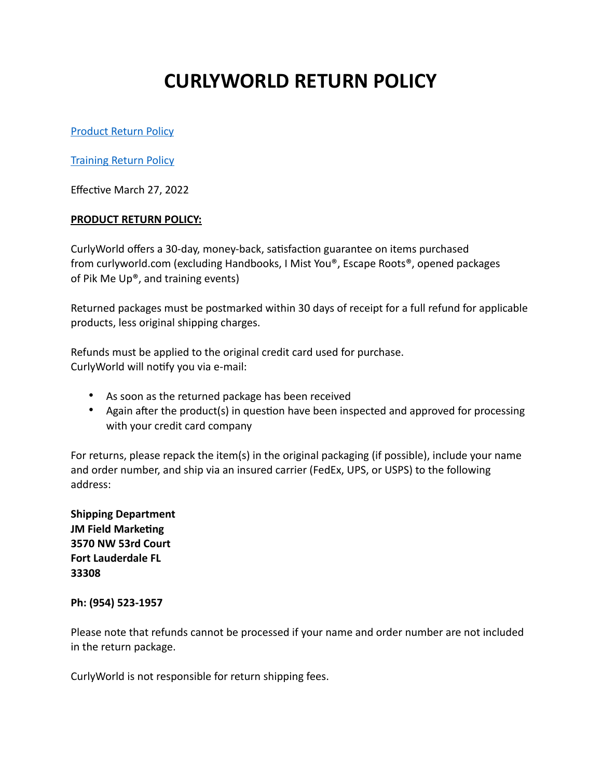# **CURLYWORLD RETURN POLICY**

[Product Return Policy](#page-0-0)

[Training Return Policy](#page-1-0)

Effective March 27, 2022

## <span id="page-0-0"></span>**PRODUCT RETURN POLICY:**

CurlyWorld offers a 30-day, money-back, satisfaction guarantee on items purchased from curlyworld.com (excluding Handbooks, I Mist You®, Escape Roots®, opened packages of Pik Me Up®, and training events)

Returned packages must be postmarked within 30 days of receipt for a full refund for applicable products, less original shipping charges.

Refunds must be applied to the original credit card used for purchase. CurlyWorld will notify you via e-mail:

- As soon as the returned package has been received
- Again after the product(s) in question have been inspected and approved for processing with your credit card company

For returns, please repack the item(s) in the original packaging (if possible), include your name and order number, and ship via an insured carrier (FedEx, UPS, or USPS) to the following address:

**Shipping Department JM Field Marketing 3570 NW 53rd Court Fort Lauderdale FL 33308** 

#### **Ph: (954) 523-1957**

Please note that refunds cannot be processed if your name and order number are not included in the return package.

CurlyWorld is not responsible for return shipping fees.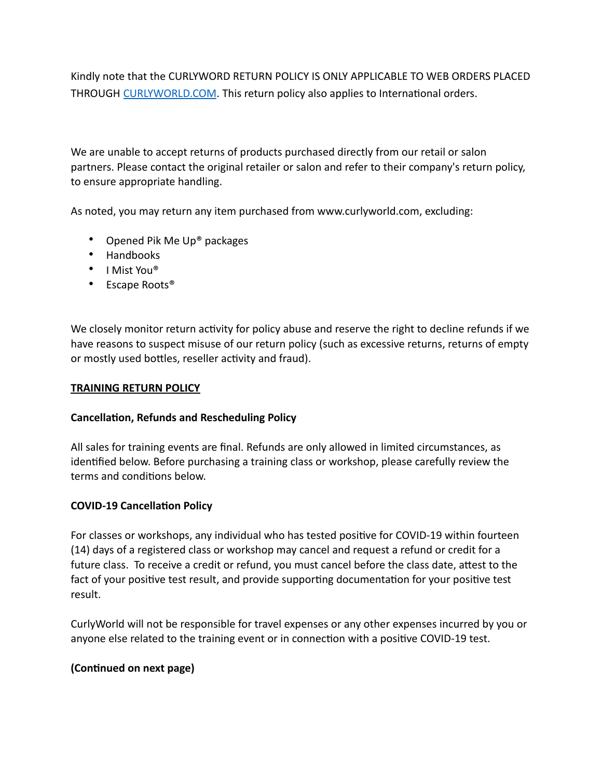Kindly note that the CURLYWORD RETURN POLICY IS ONLY APPLICABLE TO WEB ORDERS PLACED THROUGH [CURLYWORLD.COM](https://curlyworld-v2.herokuapp.com/products). This return policy also applies to International orders.

We are unable to accept returns of products purchased directly from our retail or salon partners. Please contact the original retailer or salon and refer to their company's return policy, to ensure appropriate handling.

As noted, you may return any item purchased from www.curlyworld.com, excluding:

- Opened Pik Me Up® packages
- Handbooks
- I Mist You®
- Escape Roots<sup>®</sup>

We closely monitor return activity for policy abuse and reserve the right to decline refunds if we have reasons to suspect misuse of our return policy (such as excessive returns, returns of empty or mostly used bottles, reseller activity and fraud).

#### <span id="page-1-0"></span>**TRAINING RETURN POLICY**

#### **Cancellation, Refunds and Rescheduling Policy**

All sales for training events are final. Refunds are only allowed in limited circumstances, as identified below. Before purchasing a training class or workshop, please carefully review the terms and conditions below.

#### **COVID-19 Cancellation Policy**

For classes or workshops, any individual who has tested positive for COVID-19 within fourteen (14) days of a registered class or workshop may cancel and request a refund or credit for a future class. To receive a credit or refund, you must cancel before the class date, attest to the fact of your positive test result, and provide supporting documentation for your positive test result.

CurlyWorld will not be responsible for travel expenses or any other expenses incurred by you or anyone else related to the training event or in connection with a positive COVID-19 test.

# **(Continued on next page)**